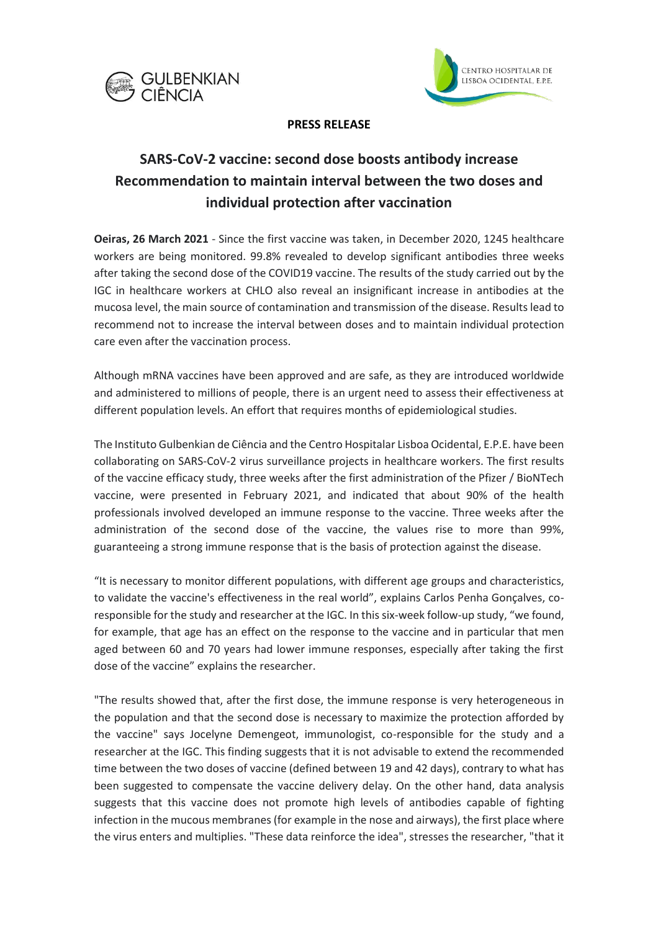



## **PRESS RELEASE**

# **SARS-CoV-2 vaccine: second dose boosts antibody increase Recommendation to maintain interval between the two doses and individual protection after vaccination**

**Oeiras, 26 March 2021** - Since the first vaccine was taken, in December 2020, 1245 healthcare workers are being monitored. 99.8% revealed to develop significant antibodies three weeks after taking the second dose of the COVID19 vaccine. The results of the study carried out by the IGC in healthcare workers at CHLO also reveal an insignificant increase in antibodies at the mucosa level, the main source of contamination and transmission of the disease. Results lead to recommend not to increase the interval between doses and to maintain individual protection care even after the vaccination process.

Although mRNA vaccines have been approved and are safe, as they are introduced worldwide and administered to millions of people, there is an urgent need to assess their effectiveness at different population levels. An effort that requires months of epidemiological studies.

The Instituto Gulbenkian de Ciência and the Centro Hospitalar Lisboa Ocidental, E.P.E. have been collaborating on SARS-CoV-2 virus surveillance projects in healthcare workers. The first results of the vaccine efficacy study, three weeks after the first administration of the Pfizer / BioNTech vaccine, were presented in February 2021, and indicated that about 90% of the health professionals involved developed an immune response to the vaccine. Three weeks after the administration of the second dose of the vaccine, the values rise to more than 99%, guaranteeing a strong immune response that is the basis of protection against the disease.

"It is necessary to monitor different populations, with different age groups and characteristics, to validate the vaccine's effectiveness in the real world", explains Carlos Penha Gonçalves, coresponsible for the study and researcher at the IGC. In this six-week follow-up study, "we found, for example, that age has an effect on the response to the vaccine and in particular that men aged between 60 and 70 years had lower immune responses, especially after taking the first dose of the vaccine" explains the researcher.

"The results showed that, after the first dose, the immune response is very heterogeneous in the population and that the second dose is necessary to maximize the protection afforded by the vaccine" says Jocelyne Demengeot, immunologist, co-responsible for the study and a researcher at the IGC. This finding suggests that it is not advisable to extend the recommended time between the two doses of vaccine (defined between 19 and 42 days), contrary to what has been suggested to compensate the vaccine delivery delay. On the other hand, data analysis suggests that this vaccine does not promote high levels of antibodies capable of fighting infection in the mucous membranes (for example in the nose and airways), the first place where the virus enters and multiplies. "These data reinforce the idea", stresses the researcher, "that it